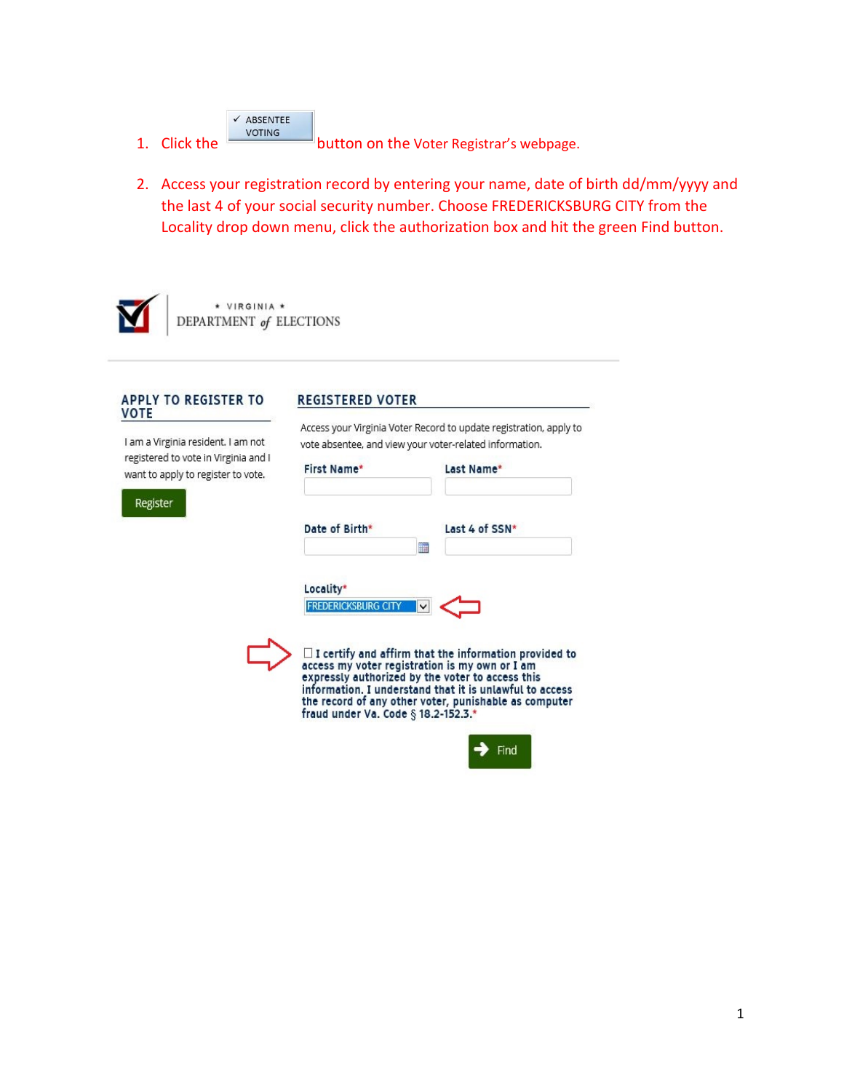| ✔ ABSENTEE    |
|---------------|
| <b>VOTING</b> |

1. Click the **button on the Voter Registrar's webpage.** 

2. Access your registration record by entering your name, date of birth dd/mm/yyyy and the last 4 of your social security number. Choose FREDERICKSBURG CITY from the Locality drop down menu, click the authorization box and hit the green Find button.



\* VIRGINIA \* DEPARTMENT of ELECTIONS

# APPLY TO REGISTER TO<br>VOTE

I am a Virginia resident. I am not registered to vote in Virginia and I want to apply to register to vote.

Register

```
First Name*
                            Last Name*
Date of Birth*
                            Last 4 of SSN*
                      m
Locality*
```
vote absentee, and view your voter-related information.

Access your Virginia Voter Record to update registration, apply to



**REGISTERED VOTER** 



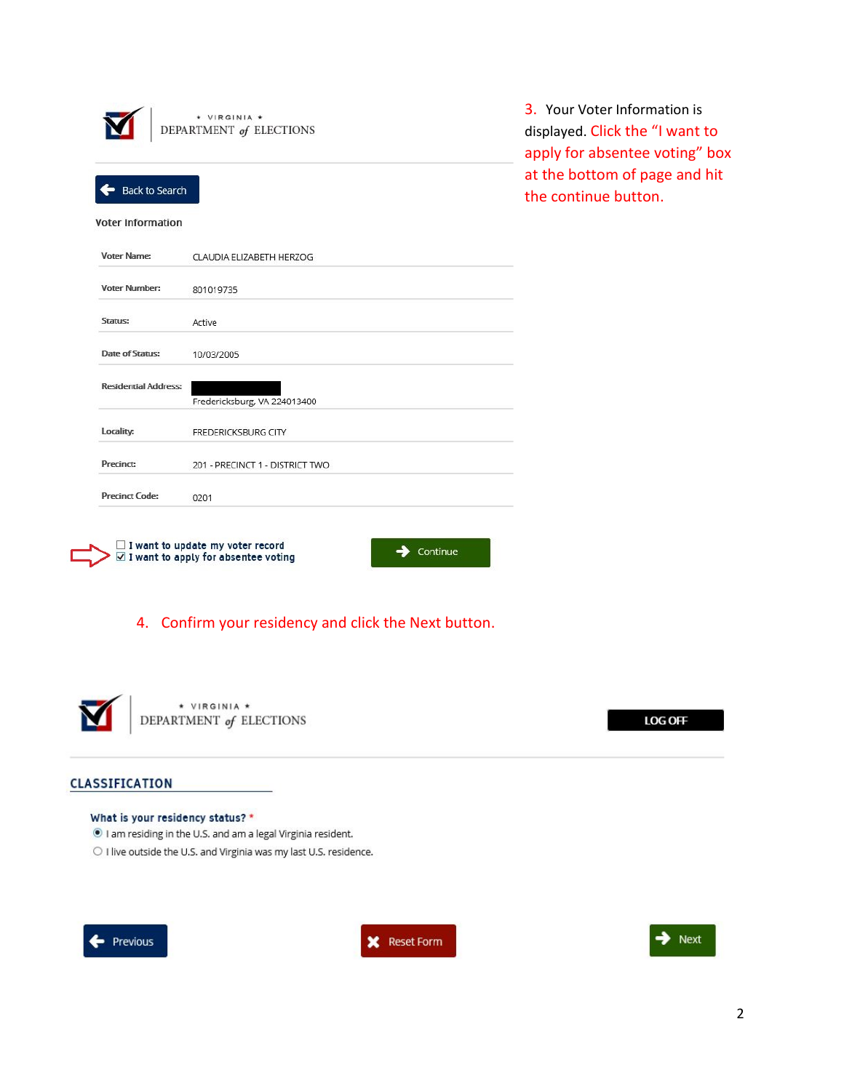| * VIRGINIA *<br>DEPARTMENT of ELECTIONS |                                 |  |
|-----------------------------------------|---------------------------------|--|
| <b>Back to Search</b>                   |                                 |  |
| <b>Voter Information</b>                |                                 |  |
| Voter Name:                             | CLAUDIA ELIZABETH HERZOG        |  |
| <b>Voter Number:</b>                    | 801019735                       |  |
| Status:                                 | Active                          |  |
| Date of Status:                         | 10/03/2005                      |  |
| <b>Residential Address:</b>             | Fredericksburg, VA 224013400    |  |
| Locality:                               | <b>FREDERICKSBURG CITY</b>      |  |
| Precinct:                               | 201 - PRECINCT 1 - DISTRICT TWO |  |
| <b>Precinct Code:</b>                   | 0201                            |  |
|                                         |                                 |  |

3. Your Voter Information is displayed. Click the "I want to apply for absentee voting" box at the bottom of page and hit the continue button.





# 4. Confirm your residency and click the Next button.



\* VIRGINIA \* DEPARTMENT of ELECTIONS

LOG OFF

### CLASSIFICATION

### What is your residency status? \*

I am residing in the U.S. and am a legal Virginia resident.

O I live outside the U.S. and Virginia was my last U.S. residence.





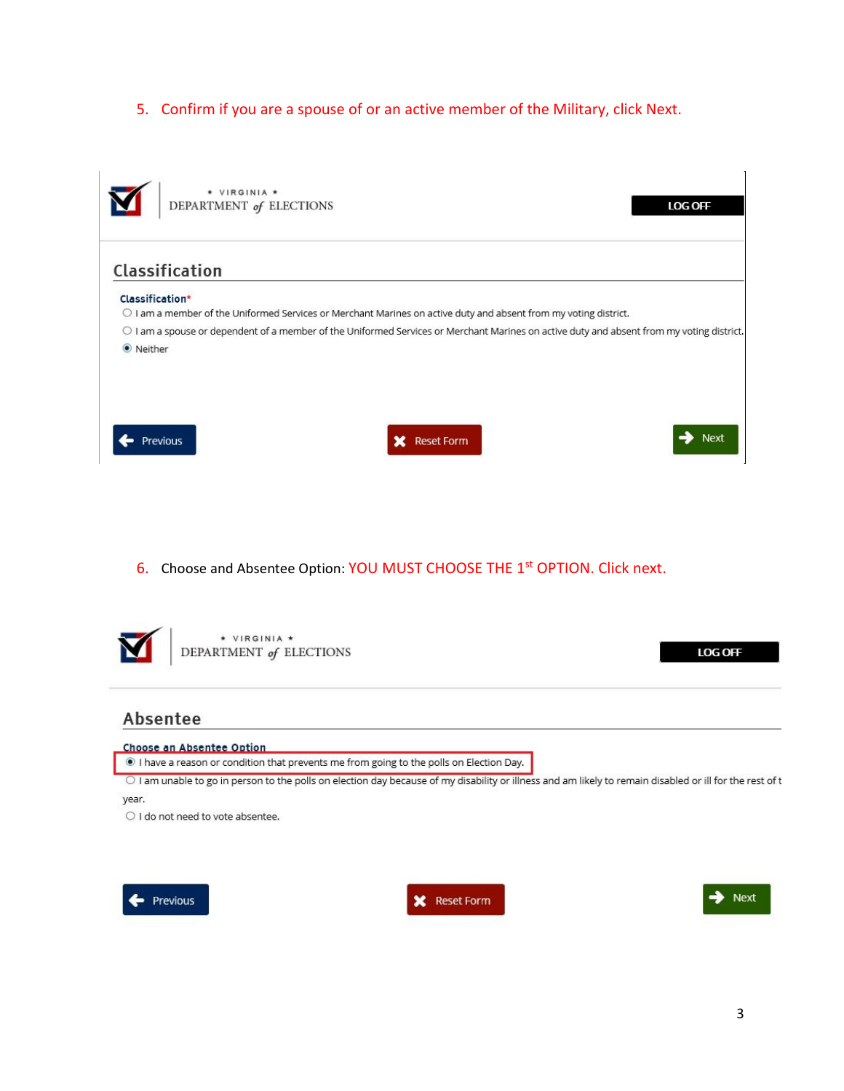5. Confirm if you are a spouse of or an active member of the Military, click Next.



6. Choose and Absentee Option: YOU MUST CHOOSE THE 1<sup>st</sup> OPTION. Click next.



# Absentee

#### Choose an Absentee Option

I have a reason or condition that prevents me from going to the polls on Election Day.

O I am unable to go in person to the polls on election day because of my disability or illness and am likely to remain disabled or ill for the rest of t year.

O I do not need to vote absentee.





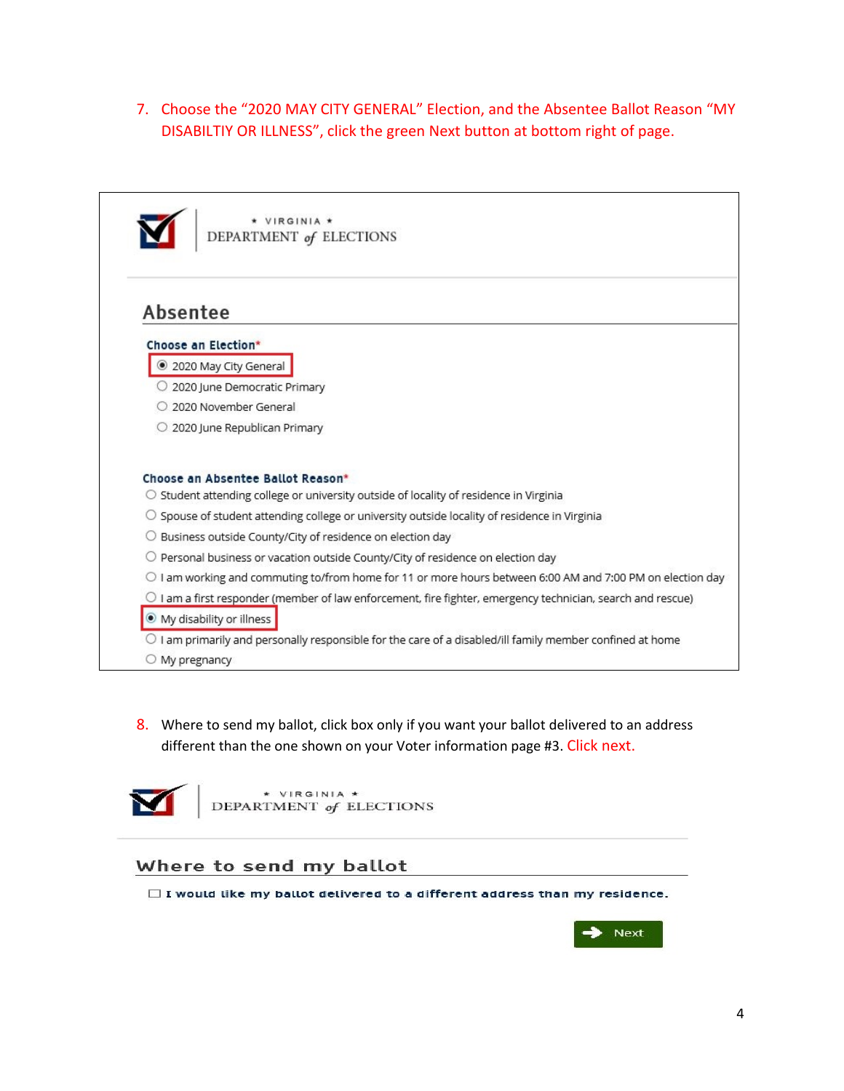7. Choose the "2020 MAY CITY GENERAL" Election, and the Absentee Ballot Reason "MY DISABILTIY OR ILLNESS", click the green Next button at bottom right of page.



\* VIRGINIA \* DEPARTMENT of ELECTIONS

# Absentee

### Choose an Election\*

- 2020 May City General
- O 2020 June Democratic Primary
- O 2020 November General
- 2020 June Republican Primary

### Choose an Absentee Ballot Reason\*

- O Student attending college or university outside of locality of residence in Virginia
- O Spouse of student attending college or university outside locality of residence in Virginia
- O Business outside County/City of residence on election day
- $\bigcirc$  Personal business or vacation outside County/City of residence on election day
- O I am working and commuting to/from home for 11 or more hours between 6:00 AM and 7:00 PM on election day
- O I am a first responder (member of law enforcement, fire fighter, emergency technician, search and rescue) · My disability or illness
- O I am primarily and personally responsible for the care of a disabled/ill family member confined at home
- $\bigcirc$  My pregnancy
- 8. Where to send my ballot, click box only if you want your ballot delivered to an address different than the one shown on your Voter information page #3. Click next.



\* VIRGINIA \* DEPARTMENT of ELECTIONS

### Where to send my ballot

 $\Box$  I would like my ballot delivered to a different address than my residence.

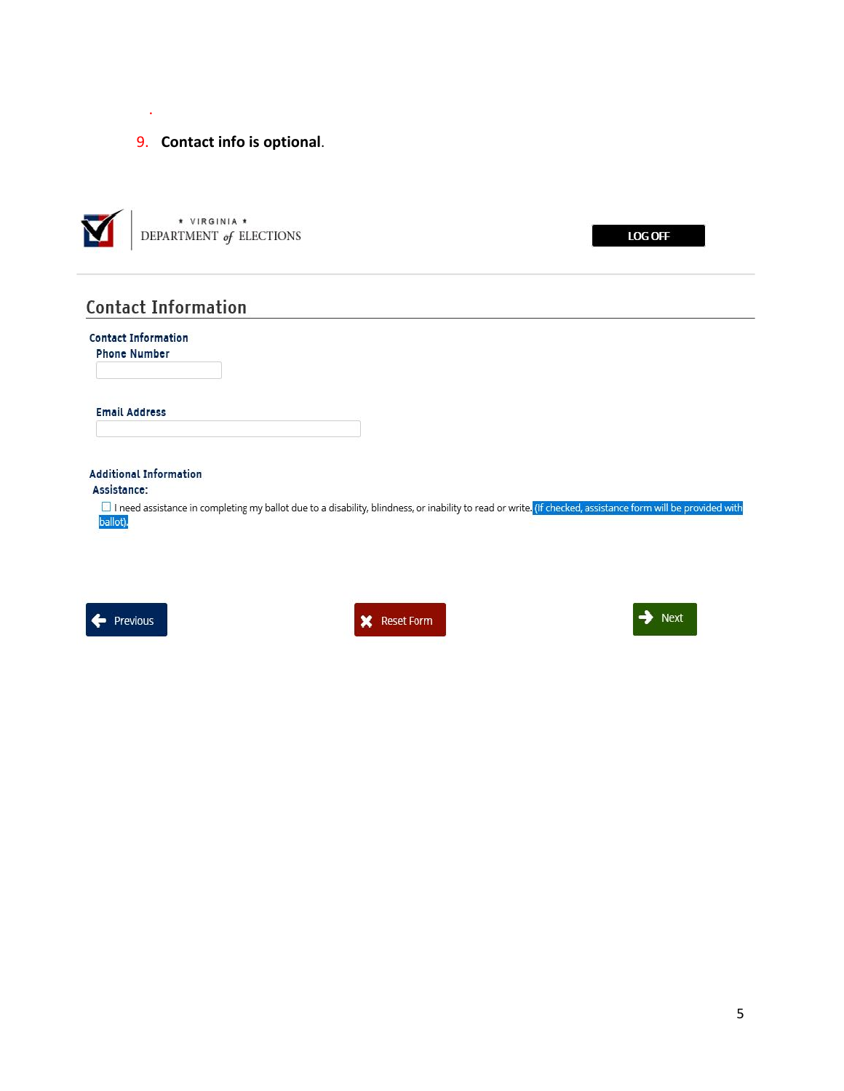.

### 9. **Contact info is optional**.



LOG OFF

# **Contact Information**

| <b>Contact Information</b><br><b>Phone Number</b> |                                                                                                                                                               |
|---------------------------------------------------|---------------------------------------------------------------------------------------------------------------------------------------------------------------|
| <b>Email Address</b>                              |                                                                                                                                                               |
| <b>Additional Information</b><br>Assistance:      |                                                                                                                                                               |
| ballot).                                          | □ I need assistance in completing my ballot due to a disability, blindness, or inability to read or write, (If checked, assistance form will be provided with |





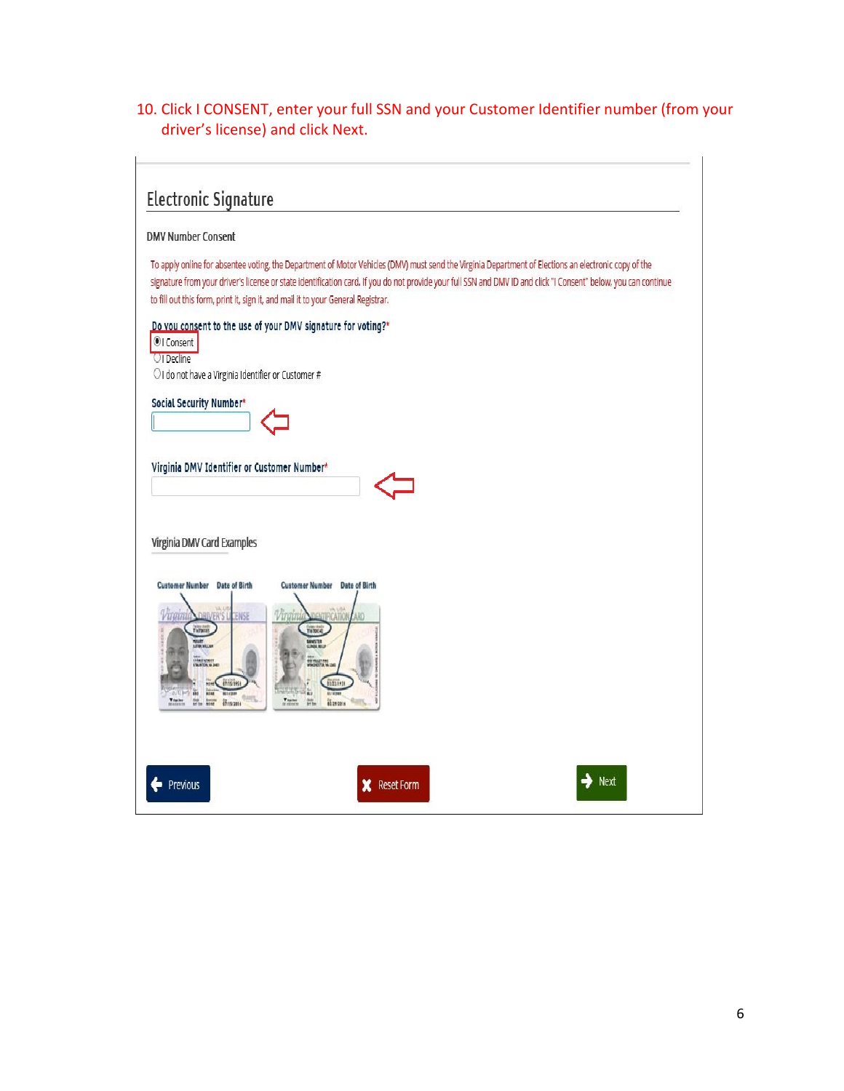# 10. Click I CONSENT, enter your full SSN and your Customer Identifier number (from your driver's license) and click Next.

# **Electronic Signature**

### **DMV Number Consent**

To apply online for absentee voting, the Department of Motor Vehicles (DMV) must send the Virginia Department of Elections an electronic copy of the signature from your driver's license or state identification card. If you do not provide your full SSN and DMV ID and click "I Consent" below, you can continue to fill out this form, print it, sign it, and mail it to your General Registrar.

### Do you consent to the use of your DMV signature for voting?\*

OI Consent **OI** Decline

OI do not have a Virginia Identifier or Customer #

Social Security Number\*



Virginia DMV Identifier or Customer Number\*



Virginia DMV Card Examples